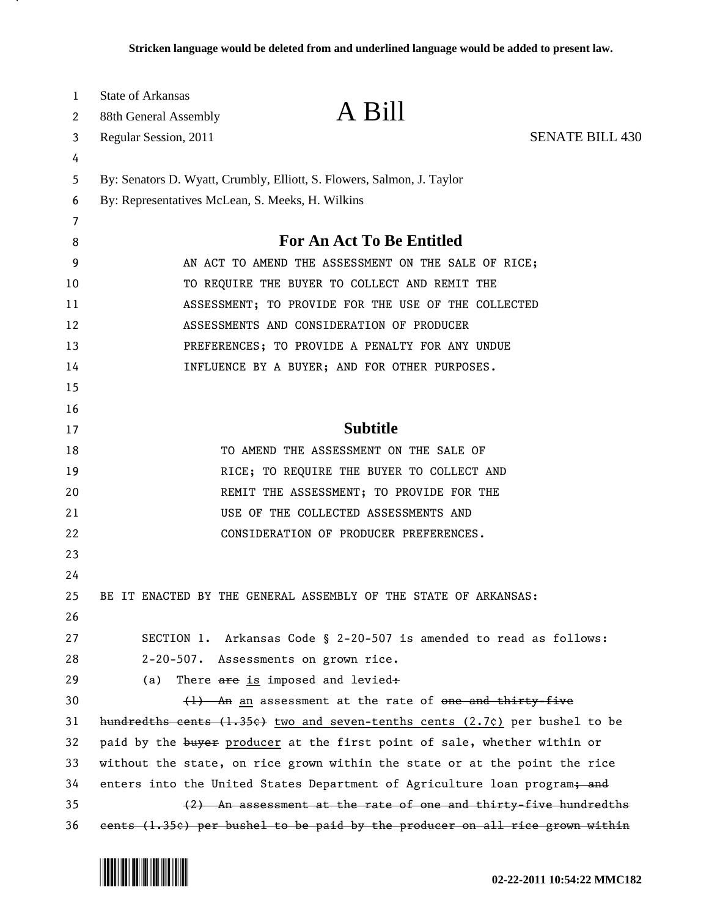| 1  | <b>State of Arkansas</b>                            |                                                                                       |                        |
|----|-----------------------------------------------------|---------------------------------------------------------------------------------------|------------------------|
| 2  | 88th General Assembly                               | A Bill                                                                                |                        |
| 3  | Regular Session, 2011                               |                                                                                       | <b>SENATE BILL 430</b> |
| 4  |                                                     |                                                                                       |                        |
| 5  |                                                     | By: Senators D. Wyatt, Crumbly, Elliott, S. Flowers, Salmon, J. Taylor                |                        |
| 6  | By: Representatives McLean, S. Meeks, H. Wilkins    |                                                                                       |                        |
| 7  |                                                     |                                                                                       |                        |
| 8  | <b>For An Act To Be Entitled</b>                    |                                                                                       |                        |
| 9  | AN ACT TO AMEND THE ASSESSMENT ON THE SALE OF RICE; |                                                                                       |                        |
| 10 | TO REQUIRE THE BUYER TO COLLECT AND REMIT THE       |                                                                                       |                        |
| 11 | ASSESSMENT; TO PROVIDE FOR THE USE OF THE COLLECTED |                                                                                       |                        |
| 12 | ASSESSMENTS AND CONSIDERATION OF PRODUCER           |                                                                                       |                        |
| 13 | PREFERENCES; TO PROVIDE A PENALTY FOR ANY UNDUE     |                                                                                       |                        |
| 14 | INFLUENCE BY A BUYER; AND FOR OTHER PURPOSES.       |                                                                                       |                        |
| 15 |                                                     |                                                                                       |                        |
| 16 |                                                     |                                                                                       |                        |
| 17 |                                                     | <b>Subtitle</b>                                                                       |                        |
| 18 |                                                     | TO AMEND THE ASSESSMENT ON THE SALE OF                                                |                        |
| 19 |                                                     | RICE; TO REQUIRE THE BUYER TO COLLECT AND                                             |                        |
| 20 |                                                     | REMIT THE ASSESSMENT; TO PROVIDE FOR THE                                              |                        |
| 21 |                                                     | USE OF THE COLLECTED ASSESSMENTS AND                                                  |                        |
| 22 |                                                     | CONSIDERATION OF PRODUCER PREFERENCES.                                                |                        |
| 23 |                                                     |                                                                                       |                        |
| 24 |                                                     |                                                                                       |                        |
| 25 |                                                     | BE IT ENACTED BY THE GENERAL ASSEMBLY OF THE STATE OF ARKANSAS:                       |                        |
| 26 |                                                     |                                                                                       |                        |
| 27 |                                                     | SECTION 1. Arkansas Code § 2-20-507 is amended to read as follows:                    |                        |
| 28 |                                                     | 2-20-507. Assessments on grown rice.                                                  |                        |
| 29 | (a)                                                 | There are is imposed and levied:                                                      |                        |
| 30 |                                                     | $\{1\}$ An an assessment at the rate of one and thirty-five                           |                        |
| 31 |                                                     | hundredths cents (1.35e) two and seven-tenths cents (2.7c) per bushel to be           |                        |
| 32 |                                                     | paid by the buyer producer at the first point of sale, whether within or              |                        |
| 33 |                                                     | without the state, on rice grown within the state or at the point the rice            |                        |
| 34 |                                                     | enters into the United States Department of Agriculture loan program <del>; and</del> |                        |
| 35 |                                                     | (2) An assessment at the rate of one and thirty-five hundredths                       |                        |
| 36 |                                                     | eents (1.35e) per bushel to be paid by the producer on all rice grown within          |                        |

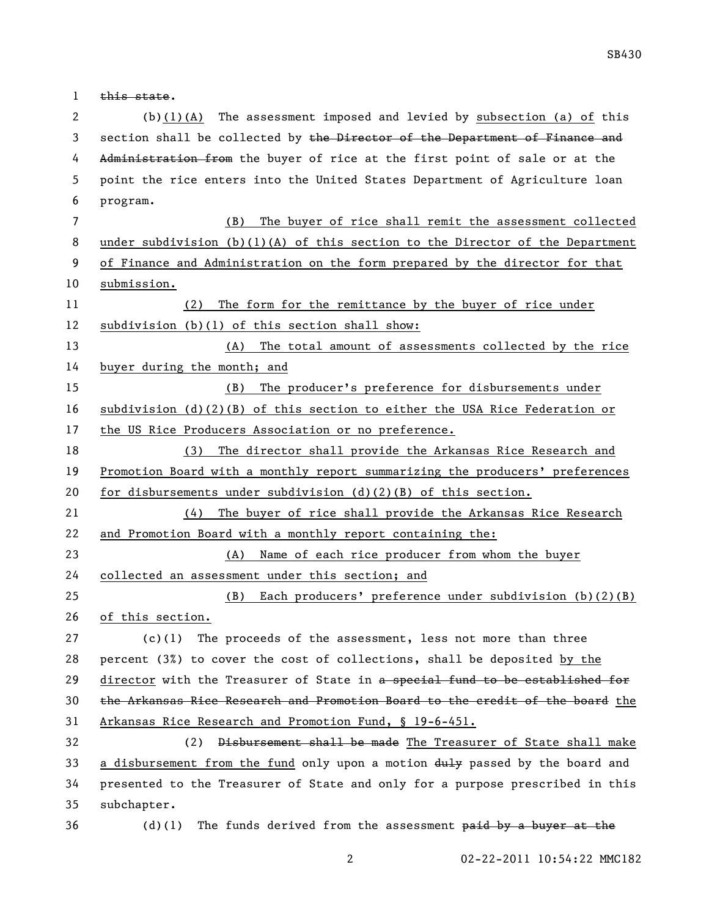1 this state.

 (b)(1)(A) The assessment imposed and levied by subsection (a) of this 3 section shall be collected by the Director of the Department of Finance and 4 Administration from the buyer of rice at the first point of sale or at the point the rice enters into the United States Department of Agriculture loan program.

 (B) The buyer of rice shall remit the assessment collected under subdivision (b)(1)(A) of this section to the Director of the Department of Finance and Administration on the form prepared by the director for that submission.

 (2) The form for the remittance by the buyer of rice under subdivision (b)(1) of this section shall show:

 (A) The total amount of assessments collected by the rice buyer during the month; and

 (B) The producer's preference for disbursements under subdivision (d)(2)(B) of this section to either the USA Rice Federation or the US Rice Producers Association or no preference.

 (3) The director shall provide the Arkansas Rice Research and Promotion Board with a monthly report summarizing the producers' preferences for disbursements under subdivision (d)(2)(B) of this section.

 (4) The buyer of rice shall provide the Arkansas Rice Research and Promotion Board with a monthly report containing the:

(A) Name of each rice producer from whom the buyer

collected an assessment under this section; and

 (B) Each producers' preference under subdivision (b)(2)(B) of this section.

 (c)(1) The proceeds of the assessment, less not more than three percent (3%) to cover the cost of collections, shall be deposited by the 29 director with the Treasurer of State in a special fund to be established for the Arkansas Rice Research and Promotion Board to the credit of the board the Arkansas Rice Research and Promotion Fund, § 19-6-451.

 (2) Disbursement shall be made The Treasurer of State shall make 33 a disbursement from the fund only upon a motion  $\frac{du}{dy}$  passed by the board and presented to the Treasurer of State and only for a purpose prescribed in this subchapter.

(d)(1) The funds derived from the assessment paid by a buyer at the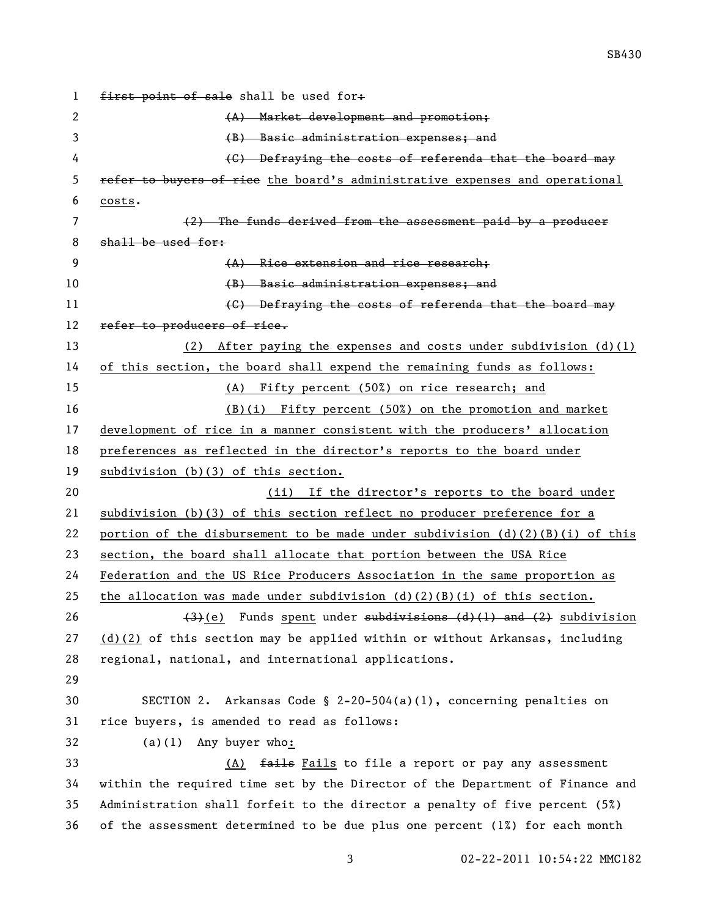```
1 first point of sale shall be used for:
2 (A) Market development and promotion;
3 (B) Basic administration expenses; and
4 (G) Defraying the costs of referenda that the board may
5 refer to buyers of rice the board's administrative expenses and operational
6 costs.
7 (2) The funds derived from the assessment paid by a producer 
8 shall be used for:
9 (A) Rice extension and rice research;
10 Example 20 CM Service administration expenses; and
11 (C) Defraying the costs of referenda that the board may
12 refer to producers of rice.
13 (2) After paying the expenses and costs under subdivision (d)(1) 
14 of this section, the board shall expend the remaining funds as follows:
15 (A) Fifty percent (50%) on rice research; and
16 (B)(i) Fifty percent (50%) on the promotion and market 
17 development of rice in a manner consistent with the producers' allocation 
18 preferences as reflected in the director's reports to the board under 
19 subdivision (b)(3) of this section.
20 (ii) If the director's reports to the board under
21 subdivision (b)(3) of this section reflect no producer preference for a
22 portion of the disbursement to be made under subdivision (d)(2)(B)(i) of this
23 section, the board shall allocate that portion between the USA Rice 
24 Federation and the US Rice Producers Association in the same proportion as 
25 the allocation was made under subdivision (d)(2)(B)(i) of this section.
26 (3)(e) Funds spent under subdivisions (d)(1) and (2) subdivision
27 (d)(2) of this section may be applied within or without Arkansas, including
28 regional, national, and international applications.
29
30 SECTION 2. Arkansas Code § 2-20-504(a)(1), concerning penalties on 
31 rice buyers, is amended to read as follows:
32 (a)(1) Any buyer who:
33 (A) fails Fails to file a report or pay any assessment
34 within the required time set by the Director of the Department of Finance and 
35 Administration shall forfeit to the director a penalty of five percent (5%) 
36 of the assessment determined to be due plus one percent (1%) for each month
```